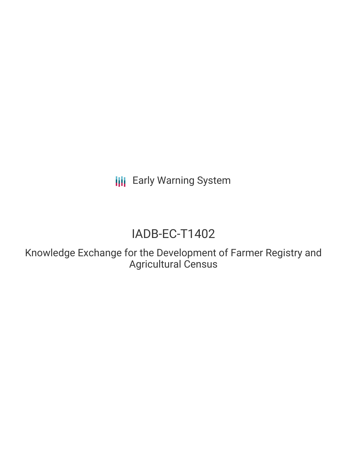**III** Early Warning System

# IADB-EC-T1402

Knowledge Exchange for the Development of Farmer Registry and Agricultural Census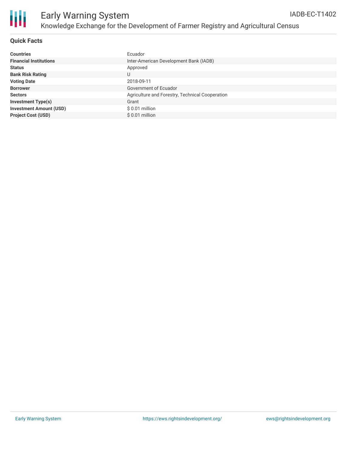

### **Quick Facts**

| <b>Countries</b>               | Ecuador                                         |
|--------------------------------|-------------------------------------------------|
| <b>Financial Institutions</b>  | Inter-American Development Bank (IADB)          |
| <b>Status</b>                  | Approved                                        |
| <b>Bank Risk Rating</b>        |                                                 |
| <b>Voting Date</b>             | 2018-09-11                                      |
| <b>Borrower</b>                | Government of Ecuador                           |
| <b>Sectors</b>                 | Agriculture and Forestry, Technical Cooperation |
| <b>Investment Type(s)</b>      | Grant                                           |
| <b>Investment Amount (USD)</b> | $$0.01$ million                                 |
| <b>Project Cost (USD)</b>      | \$0.01 million                                  |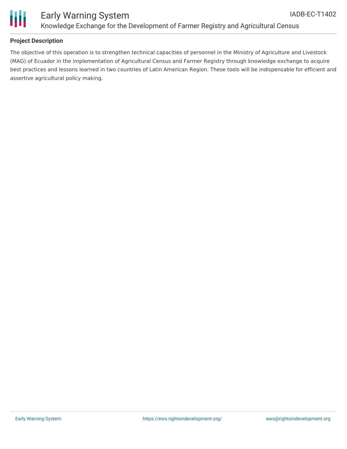



#### **Project Description**

The objective of this operation is to strengthen technical capacities of personnel in the Ministry of Agriculture and Livestock (MAG) of Ecuador in the implementation of Agricultural Census and Farmer Registry through knowledge exchange to acquire best practices and lessons learned in two countries of Latin American Region. These tools will be indispensable for efficient and assertive agricultural policy making.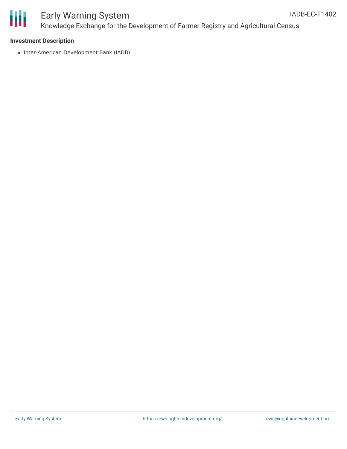



# Early Warning System Knowledge Exchange for the Development of Farmer Registry and Agricultural Census

#### **Investment Description**

• Inter-American Development Bank (IADB)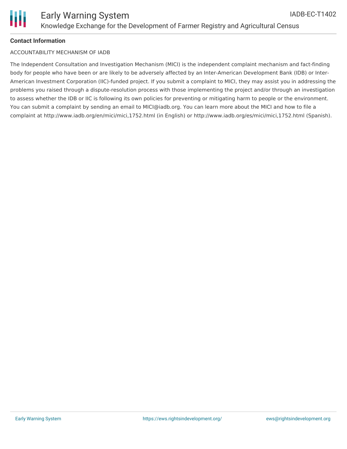## **Contact Information**

### ACCOUNTABILITY MECHANISM OF IADB

The Independent Consultation and Investigation Mechanism (MICI) is the independent complaint mechanism and fact-finding body for people who have been or are likely to be adversely affected by an Inter-American Development Bank (IDB) or Inter-American Investment Corporation (IIC)-funded project. If you submit a complaint to MICI, they may assist you in addressing the problems you raised through a dispute-resolution process with those implementing the project and/or through an investigation to assess whether the IDB or IIC is following its own policies for preventing or mitigating harm to people or the environment. You can submit a complaint by sending an email to MICI@iadb.org. You can learn more about the MICI and how to file a complaint at http://www.iadb.org/en/mici/mici,1752.html (in English) or http://www.iadb.org/es/mici/mici,1752.html (Spanish).